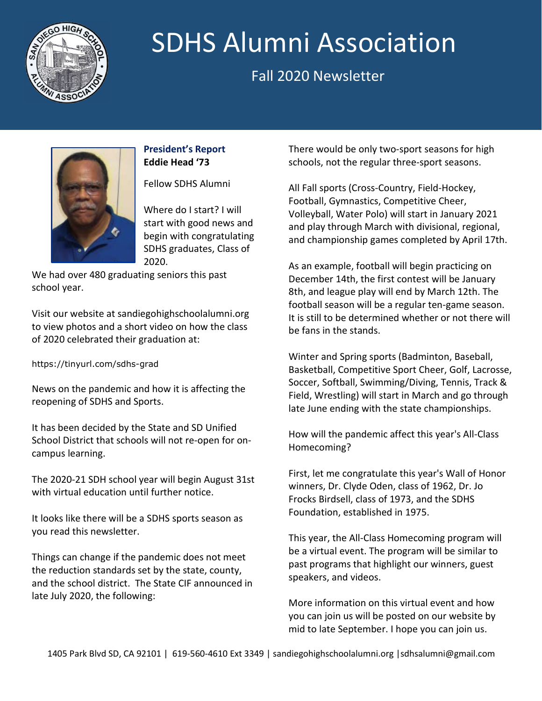

# **NEWSLETTER SIDES ATTIMAL ASSOCIATION** SDHS Alumni Association

# Fall 2020 Newsletter



#### **President's Report Eddie Head '73**

Fellow SDHS Alumni

Where do I start? I will start with good news and begin with congratulating SDHS graduates, Class of 2020.

We had over 480 graduating seniors this past school year.

Visit our website at sandiegohighschoolalumni.org to view photos and a short video on how the class of 2020 celebrated their graduation at:

### https://tinyurl.com/sdhs-grad

News on the pandemic and how it is affecting the reopening of SDHS and Sports.

It has been decided by the State and SD Unified School District that schools will not re-open for oncampus learning.

The 2020-21 SDH school year will begin August 31st with virtual education until further notice.

It looks like there will be a SDHS sports season as you read this newsletter.

Things can change if the pandemic does not meet the reduction standards set by the state, county, and the school district. The State CIF announced in late July 2020, the following:

There would be only two-sport seasons for high schools, not the regular three-sport seasons.

All Fall sports (Cross-Country, Field-Hockey, Football, Gymnastics, Competitive Cheer, Volleyball, Water Polo) will start in January 2021 and play through March with divisional, regional, and championship games completed by April 17th.

As an example, football will begin practicing on December 14th, the first contest will be January 8th, and league play will end by March 12th. The football season will be a regular ten-game season. It is still to be determined whether or not there will be fans in the stands.

Winter and Spring sports (Badminton, Baseball, Basketball, Competitive Sport Cheer, Golf, Lacrosse, Soccer, Softball, Swimming/Diving, Tennis, Track & Field, Wrestling) will start in March and go through late June ending with the state championships.

How will the pandemic affect this year's All-Class Homecoming?

First, let me congratulate this year's Wall of Honor winners, Dr. Clyde Oden, class of 1962, Dr. Jo Frocks Birdsell, class of 1973, and the SDHS Foundation, established in 1975.

This year, the All-Class Homecoming program will be a virtual event. The program will be similar to past programs that highlight our winners, guest speakers, and videos.

More information on this virtual event and how you can join us will be posted on our website by mid to late September. I hope you can join us.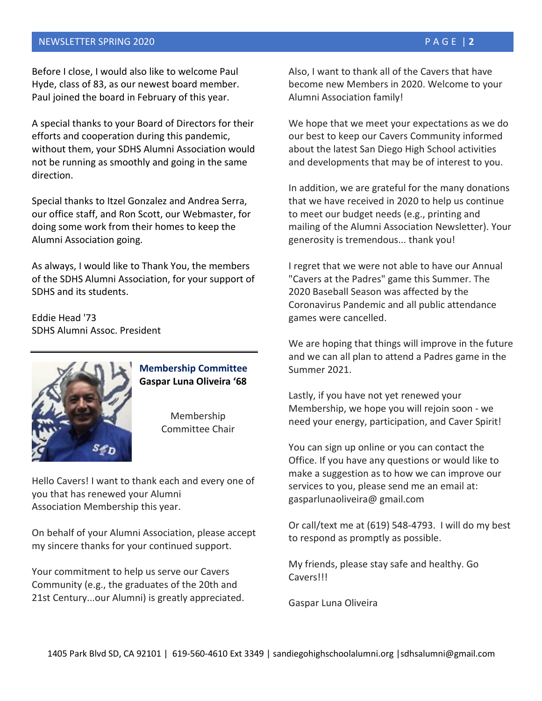#### NEWSLETTER SPRING 2020 PAGE | **2**

Before I close, I would also like to welcome Paul Hyde, class of 83, as our newest board member. Paul joined the board in February of this year.

A special thanks to your Board of Directors for their efforts and cooperation during this pandemic, without them, your SDHS Alumni Association would not be running as smoothly and going in the same direction.

Special thanks to Itzel Gonzalez and Andrea Serra, our office staff, and Ron Scott, our Webmaster, for doing some work from their homes to keep the Alumni Association going.

As always, I would like to Thank You, the members of the SDHS Alumni Association, for your support of SDHS and its students.

Eddie Head '73 SDHS Alumni Assoc. President



## **Membership Committee Gaspar Luna Oliveira '68**

Membership Committee Chair

Hello Cavers! I want to thank each and every one of you that has renewed your Alumni Association Membership this year.

On behalf of your Alumni Association, please accept my sincere thanks for your continued support.

Your commitment to help us serve our Cavers Community (e.g., the graduates of the 20th and 21st Century...our Alumni) is greatly appreciated. Also, I want to thank all of the Cavers that have become new Members in 2020. Welcome to your Alumni Association family!

We hope that we meet your expectations as we do our best to keep our Cavers Community informed about the latest San Diego High School activities and developments that may be of interest to you.

In addition, we are grateful for the many donations that we have received in 2020 to help us continue to meet our budget needs (e.g., printing and mailing of the Alumni Association Newsletter). Your generosity is tremendous... thank you!

I regret that we were not able to have our Annual "Cavers at the Padres" game this Summer. The 2020 Baseball Season was affected by the Coronavirus Pandemic and all public attendance games were cancelled.

We are hoping that things will improve in the future and we can all plan to attend a Padres game in the Summer 2021.

Lastly, if you have not yet renewed your Membership, we hope you will rejoin soon - we need your energy, participation, and Caver Spirit!

You can sign up online or you can contact the Office. If you have any questions or would like to make a suggestion as to how we can improve our services to you, please send me an email at: gasparlunaoliveira@ gmail.com

Or call/text me at (619) 548-4793. I will do my best to respond as promptly as possible.

My friends, please stay safe and healthy. Go **Cavers!!!** 

Gaspar Luna Oliveira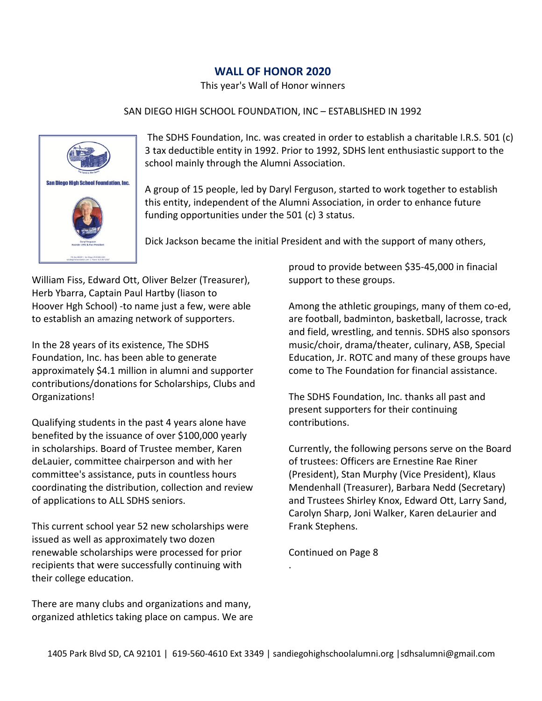### **WALL OF HONOR 2020**

This year's Wall of Honor winners

#### SAN DIEGO HIGH SCHOOL FOUNDATION, INC – ESTABLISHED IN 1992



The SDHS Foundation, Inc. was created in order to establish a charitable I.R.S. 501 (c) 3 tax deductible entity in 1992. Prior to 1992, SDHS lent enthusiastic support to the school mainly through the Alumni Association.

A group of 15 people, led by Daryl Ferguson, started to work together to establish this entity, independent of the Alumni Association, in order to enhance future funding opportunities under the 501 (c) 3 status.

Dick Jackson became the initial President and with the support of many others,

William Fiss, Edward Ott, Oliver Belzer (Treasurer), Herb Ybarra, Captain Paul Hartby (liason to Hoover Hgh School) -to name just a few, were able to establish an amazing network of supporters.

In the 28 years of its existence, The SDHS Foundation, Inc. has been able to generate approximately \$4.1 million in alumni and supporter contributions/donations for Scholarships, Clubs and Organizations!

Qualifying students in the past 4 years alone have benefited by the issuance of over \$100,000 yearly in scholarships. Board of Trustee member, Karen deLauier, committee chairperson and with her committee's assistance, puts in countless hours coordinating the distribution, collection and review of applications to ALL SDHS seniors.

This current school year 52 new scholarships were issued as well as approximately two dozen renewable scholarships were processed for prior recipients that were successfully continuing with their college education.

There are many clubs and organizations and many, organized athletics taking place on campus. We are proud to provide between \$35-45,000 in finacial support to these groups.

Among the athletic groupings, many of them co-ed, are football, badminton, basketball, lacrosse, track and field, wrestling, and tennis. SDHS also sponsors music/choir, drama/theater, culinary, ASB, Special Education, Jr. ROTC and many of these groups have come to The Foundation for financial assistance.

The SDHS Foundation, Inc. thanks all past and present supporters for their continuing contributions.

Currently, the following persons serve on the Board of trustees: Officers are Ernestine Rae Riner (President), Stan Murphy (Vice President), Klaus Mendenhall (Treasurer), Barbara Nedd (Secretary) and Trustees Shirley Knox, Edward Ott, Larry Sand, Carolyn Sharp, Joni Walker, Karen deLaurier and Frank Stephens.

Continued on Page 8

.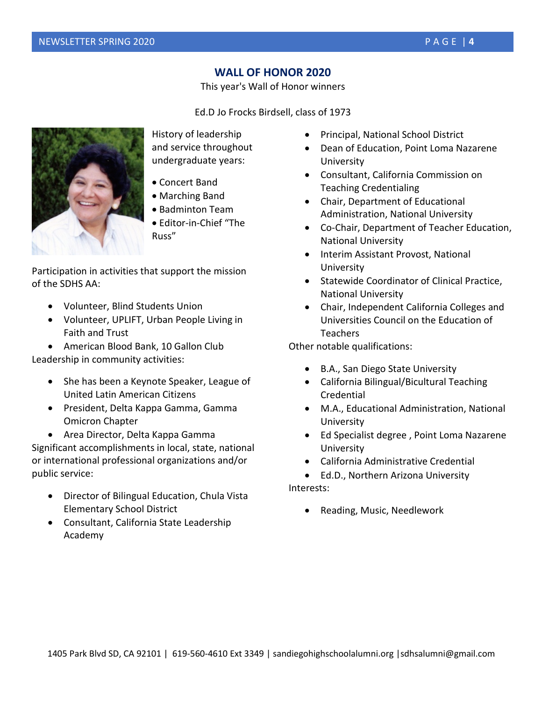### **WALL OF HONOR 2020**

This year's Wall of Honor winners

Ed.D Jo Frocks Birdsell, class of 1973



History of leadership and service throughout undergraduate years:

- Concert Band
- Marching Band
- Badminton Team
- Editor-in-Chief "The Russ"

Participation in activities that support the mission of the SDHS AA:

- Volunteer, Blind Students Union
- Volunteer, UPLIFT, Urban People Living in Faith and Trust

• American Blood Bank, 10 Gallon Club Leadership in community activities:

- She has been a Keynote Speaker, League of United Latin American Citizens
- President, Delta Kappa Gamma, Gamma Omicron Chapter
- Area Director, Delta Kappa Gamma

Significant accomplishments in local, state, national or international professional organizations and/or public service:

- Director of Bilingual Education, Chula Vista Elementary School District
- Consultant, California State Leadership Academy
- Principal, National School District
- Dean of Education, Point Loma Nazarene University
- Consultant, California Commission on Teaching Credentialing
- Chair, Department of Educational Administration, National University
- Co-Chair, Department of Teacher Education, National University
- Interim Assistant Provost, National University
- Statewide Coordinator of Clinical Practice, National University
- Chair, Independent California Colleges and Universities Council on the Education of Teachers

Other notable qualifications:

- B.A., San Diego State University
- California Bilingual/Bicultural Teaching Credential
- M.A., Educational Administration, National University
- Ed Specialist degree , Point Loma Nazarene University
- California Administrative Credential
- Ed.D., Northern Arizona University Interests:
	- Reading, Music, Needlework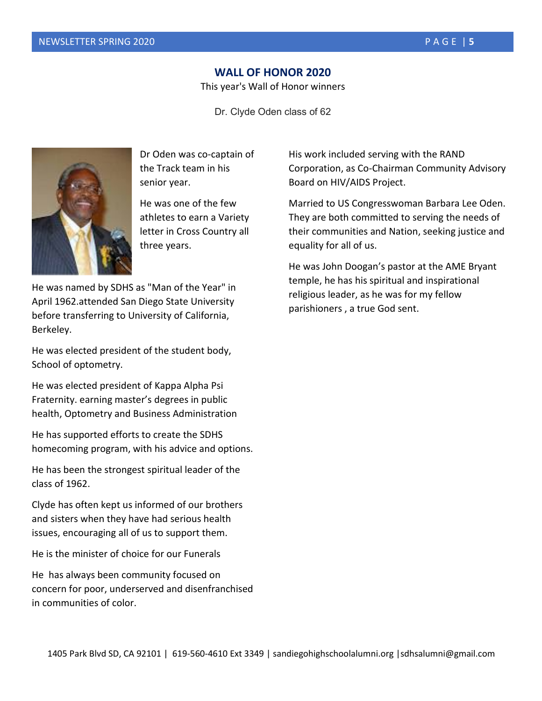#### **WALL OF HONOR 2020**

This year's Wall of Honor winners

Dr. Clyde Oden class of 62



Dr Oden was co-captain of the Track team in his senior year.

He was one of the few athletes to earn a Variety letter in Cross Country all three years.

He was named by SDHS as "Man of the Year" in April 1962.attended San Diego State University before transferring to University of California, Berkeley.

He was elected president of the student body, School of optometry.

He was elected president of Kappa Alpha Psi Fraternity. earning master's degrees in public health, Optometry and Business Administration

He has supported efforts to create the SDHS homecoming program, with his advice and options.

He has been the strongest spiritual leader of the class of 1962.

Clyde has often kept us informed of our brothers and sisters when they have had serious health issues, encouraging all of us to support them.

He is the minister of choice for our Funerals

He has always been community focused on concern for poor, underserved and disenfranchised in communities of color.

His work included serving with the RAND Corporation, as Co-Chairman Community Advisory Board on HIV/AIDS Project.

Married to US Congresswoman Barbara Lee Oden. They are both committed to serving the needs of their communities and Nation, seeking justice and equality for all of us.

He was John Doogan's pastor at the AME Bryant temple, he has his spiritual and inspirational religious leader, as he was for my fellow parishioners , a true God sent.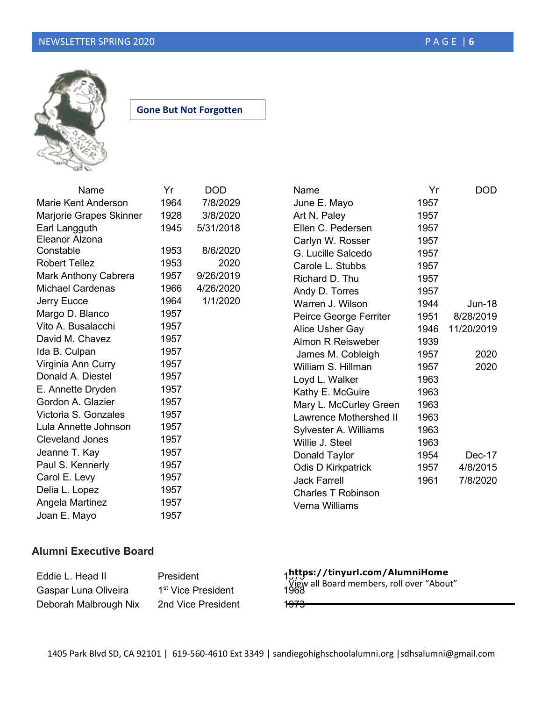

**Gone But Not Forgotten**

| Name                    | Yr   | DOD       |
|-------------------------|------|-----------|
| Marie Kent Anderson     | 1964 | 7/8/2029  |
| Marjorie Grapes Skinner | 1928 | 3/8/2020  |
| Earl Langguth           | 1945 | 5/31/2018 |
| Eleanor Alzona          |      |           |
| Constable               | 1953 | 8/6/2020  |
| <b>Robert Tellez</b>    | 1953 | 2020      |
| Mark Anthony Cabrera    | 1957 | 9/26/2019 |
| <b>Michael Cardenas</b> | 1966 | 4/26/2020 |
| <b>Jerry Eucce</b>      | 1964 | 1/1/2020  |
| Margo D. Blanco         | 1957 |           |
| Vito A. Busalacchi      | 1957 |           |
| David M. Chavez         | 1957 |           |
| Ida B. Culpan           | 1957 |           |
| Virginia Ann Curry      | 1957 |           |
| Donald A. Diestel       | 1957 |           |
| E. Annette Dryden       | 1957 |           |
| Gordon A. Glazier       | 1957 |           |
| Victoria S. Gonzales    | 1957 |           |
| Lula Annette Johnson    | 1957 |           |
| <b>Cleveland Jones</b>  | 1957 |           |
| Jeanne T. Kay           | 1957 |           |
| Paul S. Kennerly        | 1957 |           |
| Carol E. Levy           | 1957 |           |
| Delia L. Lopez          | 1957 |           |
| Angela Martinez         | 1957 |           |
| Joan E. Mayo            | 1957 |           |

| June E. Mayo                  | 1957 |            |
|-------------------------------|------|------------|
| Art N. Paley                  | 1957 |            |
| Ellen C. Pedersen             | 1957 |            |
| Carlyn W. Rosser              | 1957 |            |
| G. Lucille Salcedo            | 1957 |            |
| Carole L. Stubbs              | 1957 |            |
| Richard D. Thu                | 1957 |            |
| Andy D. Torres                | 1957 |            |
| Warren J. Wilson              | 1944 | Jun-18     |
| Peirce George Ferriter        | 1951 | 8/28/2019  |
| Alice Usher Gay               | 1946 | 11/20/2019 |
| Almon R Reisweber             | 1939 |            |
| James M. Cobleigh             | 1957 | 2020       |
| William S. Hillman            | 1957 | 2020       |
| Loyd L. Walker                | 1963 |            |
| Kathy E. McGuire              | 1963 |            |
| Mary L. McCurley Green        | 1963 |            |
| <b>Lawrence Mothershed II</b> | 1963 |            |
| Sylvester A. Williams         | 1963 |            |
| Willie J. Steel               | 1963 |            |
| Donald Taylor                 | 1954 | Dec-17     |
| Odis D Kirkpatrick            | 1957 | 4/8/2015   |
| <b>Jack Farrell</b>           | 1961 | 7/8/2020   |
| <b>Charles T Robinson</b>     |      |            |
| Verna Williams                |      |            |

Name Yr DOD

#### **Alumni Executive Board**

Eddie L. Head II President Gaspar Luna Oliveira 1<sup>st</sup> Vice President Deborah Malbrough Nix 2nd Vice President 1973

**https://tinyurl.com/AlumniHome**

View all Board members, roll over "About"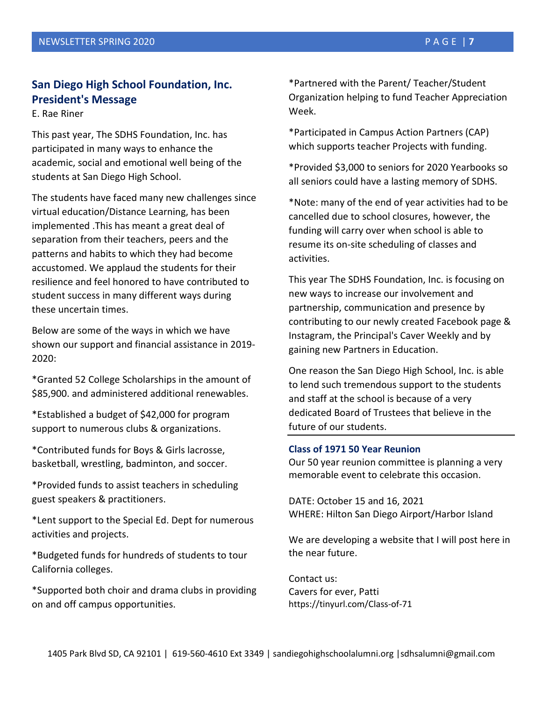## **San Diego High School Foundation, Inc. President's Message**

E. Rae Riner

This past year, The SDHS Foundation, Inc. has participated in many ways to enhance the academic, social and emotional well being of the students at San Diego High School.

The students have faced many new challenges since virtual education/Distance Learning, has been implemented .This has meant a great deal of separation from their teachers, peers and the patterns and habits to which they had become accustomed. We applaud the students for their resilience and feel honored to have contributed to student success in many different ways during these uncertain times.

Below are some of the ways in which we have shown our support and financial assistance in 2019- 2020:

\*Granted 52 College Scholarships in the amount of \$85,900. and administered additional renewables.

\*Established a budget of \$42,000 for program support to numerous clubs & organizations.

\*Contributed funds for Boys & Girls lacrosse, basketball, wrestling, badminton, and soccer.

\*Provided funds to assist teachers in scheduling guest speakers & practitioners.

\*Lent support to the Special Ed. Dept for numerous activities and projects.

\*Budgeted funds for hundreds of students to tour California colleges.

\*Supported both choir and drama clubs in providing on and off campus opportunities.

\*Partnered with the Parent/ Teacher/Student Organization helping to fund Teacher Appreciation Week.

\*Participated in Campus Action Partners (CAP) which supports teacher Projects with funding.

\*Provided \$3,000 to seniors for 2020 Yearbooks so all seniors could have a lasting memory of SDHS.

\*Note: many of the end of year activities had to be cancelled due to school closures, however, the funding will carry over when school is able to resume its on-site scheduling of classes and activities.

This year The SDHS Foundation, Inc. is focusing on new ways to increase our involvement and partnership, communication and presence by contributing to our newly created Facebook page & Instagram, the Principal's Caver Weekly and by gaining new Partners in Education.

One reason the San Diego High School, Inc. is able to lend such tremendous support to the students and staff at the school is because of a very dedicated Board of Trustees that believe in the future of our students.

#### **Class of 1971 50 Year Reunion**

Our 50 year reunion committee is planning a very memorable event to celebrate this occasion.

DATE: October 15 and 16, 2021 WHERE: Hilton San Diego Airport/Harbor Island

We are developing a website that I will post here in the near future.

Contact us: Cavers for ever, Patti https://tinyurl.com/Class-of-71